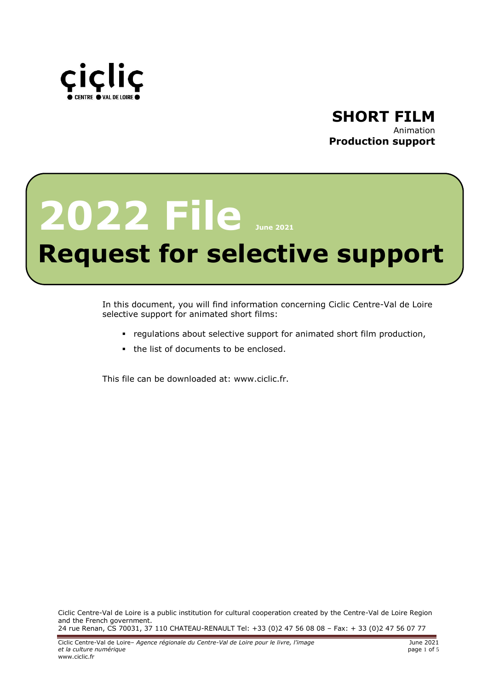



# **2022 File June <sup>2021</sup>**

# **Request for selective support**

In this document, you will find information concerning Ciclic Centre-Val de Loire selective support for animated short films:

- regulations about selective support for animated short film production,
- the list of documents to be enclosed.

This file can be downloaded at: www.ciclic.fr.

Ciclic Centre-Val de Loire is a public institution for cultural cooperation created by the Centre-Val de Loire Region and the French government. 24 rue Renan, CS 70031, 37 110 CHATEAU-RENAULT Tel: +33 (0)2 47 56 08 08 – Fax: + 33 (0)2 47 56 07 77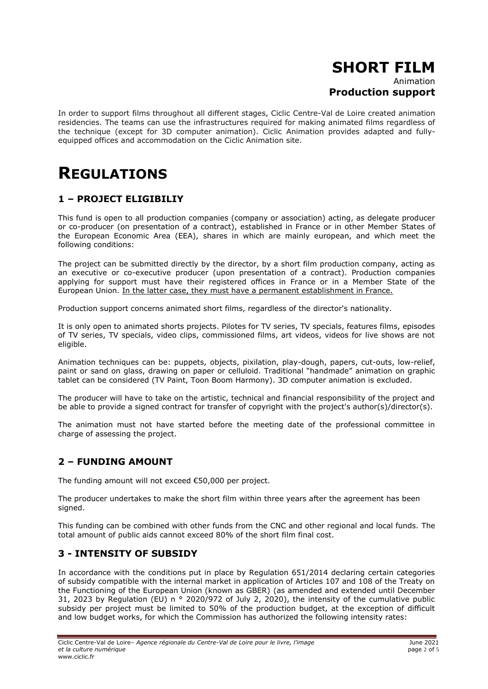# **SHORT FILM** Animation

# **Production support**

In order to support films throughout all different stages, Ciclic Centre-Val de Loire created animation residencies. The teams can use the infrastructures required for making animated films regardless of the technique (except for 3D computer animation). Ciclic Animation provides adapted and fullyequipped offices and accommodation on the Ciclic Animation site.

# **REGULATIONS**

# **1 – PROJECT ELIGIBILIY**

This fund is open to all production companies (company or association) acting, as delegate producer or co-producer (on presentation of a contract), established in France or in other Member States of the European Economic Area (EEA), shares in which are mainly european, and which meet the following conditions:

The project can be submitted directly by the director, by a short film production company, acting as an executive or co-executive producer (upon presentation of a contract). Production companies applying for support must have their registered offices in France or in a Member State of the European Union. In the latter case, they must have a permanent establishment in France.

Production support concerns animated short films, regardless of the director's nationality.

It is only open to animated shorts projects. Pilotes for TV series, TV specials, features films, episodes of TV series, TV specials, video clips, commissioned films, art videos, videos for live shows are not eligible.

Animation techniques can be: puppets, objects, pixilation, play-dough, papers, cut-outs, low-relief, paint or sand on glass, drawing on paper or celluloid. Traditional "handmade" animation on graphic tablet can be considered (TV Paint, Toon Boom Harmony). 3D computer animation is excluded.

The producer will have to take on the artistic, technical and financial responsibility of the project and be able to provide a signed contract for transfer of copyright with the project's author(s)/director(s).

The animation must not have started before the meeting date of the professional committee in charge of assessing the project.

# **2 – FUNDING AMOUNT**

The funding amount will not exceed €50,000 per project.

The producer undertakes to make the short film within three years after the agreement has been signed.

This funding can be combined with other funds from the CNC and other regional and local funds. The total amount of public aids cannot exceed 80% of the short film final cost.

## **3 - INTENSITY OF SUBSIDY**

In accordance with the conditions put in place by Regulation 651/2014 declaring certain categories of subsidy compatible with the internal market in application of Articles 107 and 108 of the Treaty on the Functioning of the European Union (known as GBER) (as amended and extended until December 31, 2023 by Requlation (EU) n ° 2020/972 of July 2, 2020), the intensity of the cumulative public subsidy per project must be limited to 50% of the production budget, at the exception of difficult and low budget works, for which the Commission has authorized the following intensity rates: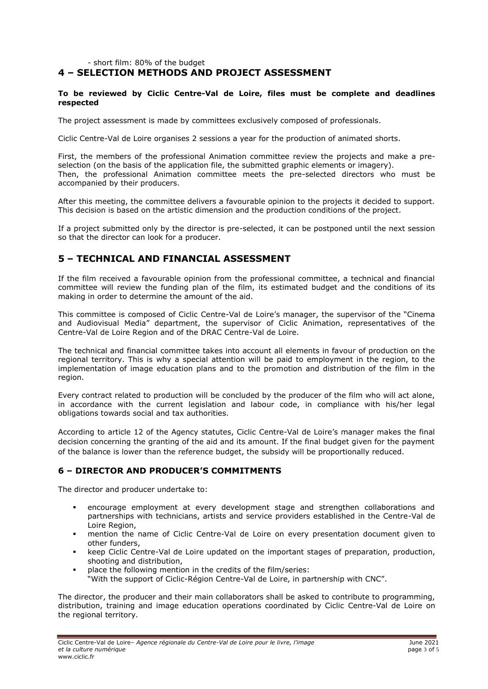#### - short film: 80% of the budget

# **4 – SELECTION METHODS AND PROJECT ASSESSMENT**

#### **To be reviewed by Ciclic Centre-Val de Loire, files must be complete and deadlines respected**

The project assessment is made by committees exclusively composed of professionals.

Ciclic Centre-Val de Loire organises 2 sessions a year for the production of animated shorts.

First, the members of the professional Animation committee review the projects and make a preselection (on the basis of the application file, the submitted graphic elements or imagery). Then, the professional Animation committee meets the pre-selected directors who must be accompanied by their producers.

After this meeting, the committee delivers a favourable opinion to the projects it decided to support. This decision is based on the artistic dimension and the production conditions of the project.

If a project submitted only by the director is pre-selected, it can be postponed until the next session so that the director can look for a producer.

## **5 – TECHNICAL AND FINANCIAL ASSESSMENT**

If the film received a favourable opinion from the professional committee, a technical and financial committee will review the funding plan of the film, its estimated budget and the conditions of its making in order to determine the amount of the aid.

This committee is composed of Ciclic Centre-Val de Loire's manager, the supervisor of the "Cinema and Audiovisual Media" department, the supervisor of Ciclic Animation, representatives of the Centre-Val de Loire Region and of the DRAC Centre-Val de Loire.

The technical and financial committee takes into account all elements in favour of production on the regional territory. This is why a special attention will be paid to employment in the region, to the implementation of image education plans and to the promotion and distribution of the film in the region.

Every contract related to production will be concluded by the producer of the film who will act alone, in accordance with the current legislation and labour code, in compliance with his/her legal obligations towards social and tax authorities.

According to article 12 of the Agency statutes, Ciclic Centre-Val de Loire's manager makes the final decision concerning the granting of the aid and its amount. If the final budget given for the payment of the balance is lower than the reference budget, the subsidy will be proportionally reduced.

#### **6 – DIRECTOR AND PRODUCER'S COMMITMENTS**

The director and producer undertake to:

- encourage employment at every development stage and strengthen collaborations and partnerships with technicians, artists and service providers established in the Centre-Val de Loire Region,
- mention the name of Ciclic Centre-Val de Loire on every presentation document given to other funders,
- keep Ciclic Centre-Val de Loire updated on the important stages of preparation, production, shooting and distribution,
- place the following mention in the credits of the film/series:
- "With the support of Ciclic-Région Centre-Val de Loire, in partnership with CNC".

The director, the producer and their main collaborators shall be asked to contribute to programming, distribution, training and image education operations coordinated by Ciclic Centre-Val de Loire on the regional territory.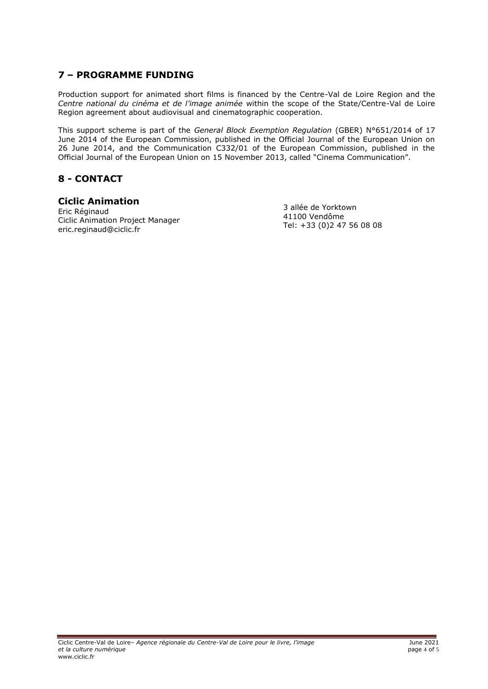# **7 – PROGRAMME FUNDING**

Production support for animated short films is financed by the Centre-Val de Loire Region and the *Centre national du cinéma et de l'image animée* within the scope of the State/Centre-Val de Loire Region agreement about audiovisual and cinematographic cooperation.

This support scheme is part of the *General Block Exemption Regulation* (GBER) N°651/2014 of 17 June 2014 of the European Commission, published in the Official Journal of the European Union on 26 June 2014, and the Communication C332/01 of the European Commission, published in the Official Journal of the European Union on 15 November 2013, called "Cinema Communication".

## **8 - CONTACT**

#### **Ciclic Animation**

Eric Réginaud Ciclic Animation Project Manager [eric.reginaud@ciclic.fr](mailto:eric.reginaud@ciclic.fr) 

3 allée de Yorktown 41100 Vendôme Tel: +33 (0)2 47 56 08 08